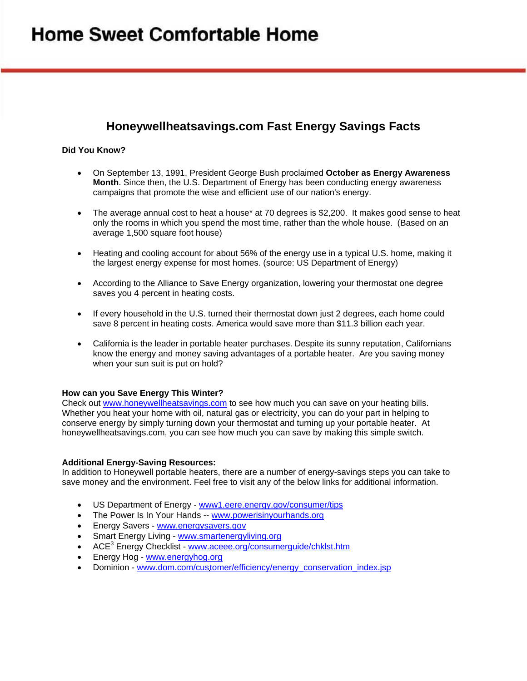# **Home Sweet Comfortable Home**

## **Honeywellheatsavings.com Fast Energy Savings Facts**

### **Did You Know?**

- On September 13, 1991, President George Bush [proclaimed](http://www.presidency.ucsb.edu/ws/index.php?pid=24078) **October as Energy Awareness Month**. Since then, the U.S. Department of Energy has been conducting energy awareness campaigns that promote the wise and efficient use of our nation's energy.
- The average annual cost to heat a house\* at 70 degrees is \$2,200. It makes good sense to heat only the rooms in which you spend the most time, rather than the whole house. (Based on an average 1,500 square foot house)
- Heating and cooling account for about 56% of the energy use in a typical U.S. home, making it the largest energy expense for most homes. (source: US Department of Energy)
- According to the Alliance to Save Energy organization, lowering your thermostat one degree saves you 4 percent in heating costs.
- If every household in the U.S. turned their thermostat down just 2 degrees, each home could save 8 percent in heating costs. America would save more than \$11.3 billion each year.
- California is the leader in portable heater purchases. Despite its sunny reputation, Californians know the energy and money saving advantages of a portable heater. Are you saving money when your sun suit is put on hold?

#### **How can you Save Energy This Winter?**

Check out [www.honeywellheatsavings.com](http://www.honeywellheatsavings.com/) to see how much you can save on your heating bills. Whether you heat your home with oil, natural gas or electricity, you can do your part in helping to conserve energy by simply turning down your thermostat and turning up your portable heater. At honeywellheatsavings.com, you can see how much you can save by making this simple switch.

#### **Additional Energy-Saving Resources:**

In addition to Honeywell portable heaters, there are a number of energy-savings steps you can take to save money and the environment. Feel free to visit any of the below links for additional information.

- US Department of Energy - [www1.eere.energy.gov/consumer/tips](http://www1.eere.energy.gov/consumer/tips/)
- The Power Is In Your Hands -- [www.powerisinyourhands.org](http://www.powerisinyourhands.org/)
- **Energy Savers - [www.energysavers.gov](http://www.energysavers.gov/)**
- Smart Energy Living [www.smartenergyliving.org](http://www.smartenergyliving.org/)
- ACE<sup>3</sup> Energy Checklist [www.aceee.org/consumerguide/chklst.htm](http://www.aceee.org/consumerguide/chklst.htm)
- Energy Hog [www.energyhog.org](http://www.energyhog.org/)
- Dominion - [www.dom.com/customer/efficiency/energy\\_conservation\\_index.jsp](http://www.dom.com/customer/efficiency/energy_conservation_index.jsp)